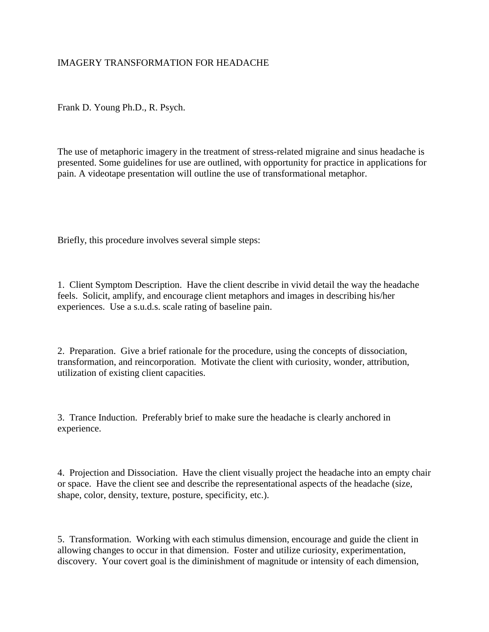## IMAGERY TRANSFORMATION FOR HEADACHE

Frank D. Young Ph.D., R. Psych.

The use of metaphoric imagery in the treatment of stress-related migraine and sinus headache is presented. Some guidelines for use are outlined, with opportunity for practice in applications for pain. A videotape presentation will outline the use of transformational metaphor.

Briefly, this procedure involves several simple steps:

1. Client Symptom Description. Have the client describe in vivid detail the way the headache feels. Solicit, amplify, and encourage client metaphors and images in describing his/her experiences. Use a s.u.d.s. scale rating of baseline pain.

2. Preparation. Give a brief rationale for the procedure, using the concepts of dissociation, transformation, and reincorporation. Motivate the client with curiosity, wonder, attribution, utilization of existing client capacities.

3. Trance Induction. Preferably brief to make sure the headache is clearly anchored in experience.

4. Projection and Dissociation. Have the client visually project the headache into an empty chair or space. Have the client see and describe the representational aspects of the headache (size, shape, color, density, texture, posture, specificity, etc.).

5. Transformation. Working with each stimulus dimension, encourage and guide the client in allowing changes to occur in that dimension. Foster and utilize curiosity, experimentation, discovery. Your covert goal is the diminishment of magnitude or intensity of each dimension,